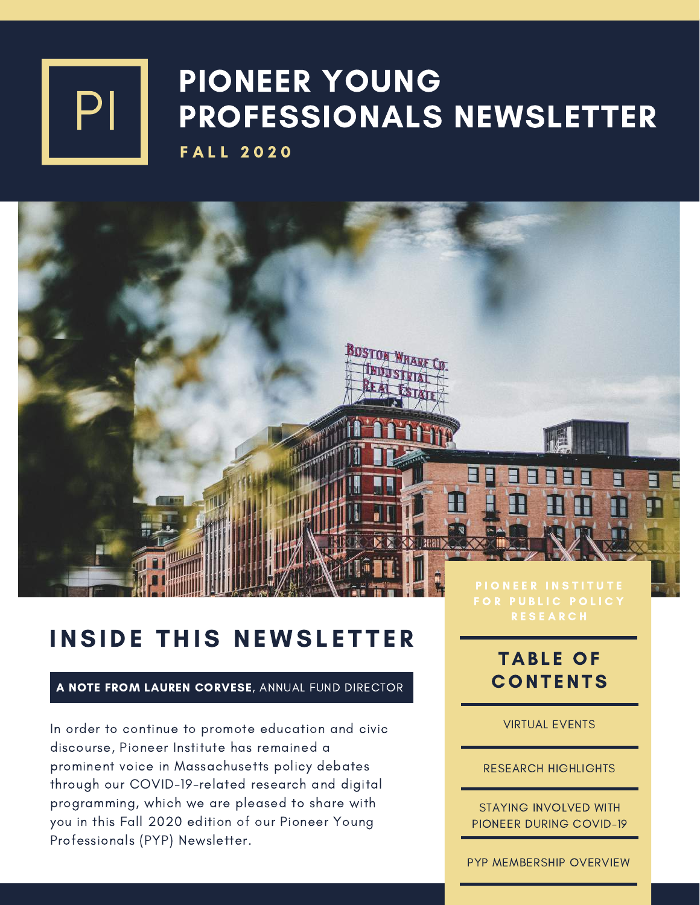

### PIONEER YOUNG PROFESSIONALS NEWSLETTER **FALL 2020**

### **INSIDE THIS NEWSLETTER**

#### A NOTE FROM LAUREN CORVESE, ANNUAL FUND DIRECTOR

In order to continue to promote education and civic discourse, Pioneer Institute has remained a prominent voice in Massachusetts policy debates through our COVID-19-related research and digital programming, which we are pleased to share with you in this Fall 2020 edition of our Pioneer Young Professionals (PYP) Newsletter.

### TABLE OF **CONTENTS**

VIRTUAL EVENTS

RESEARCH HIGHLIGHTS

STAYING INVOLVED WITH PIONEER DURING COVID-19

PYP MEMBERSHIP OVERVIEW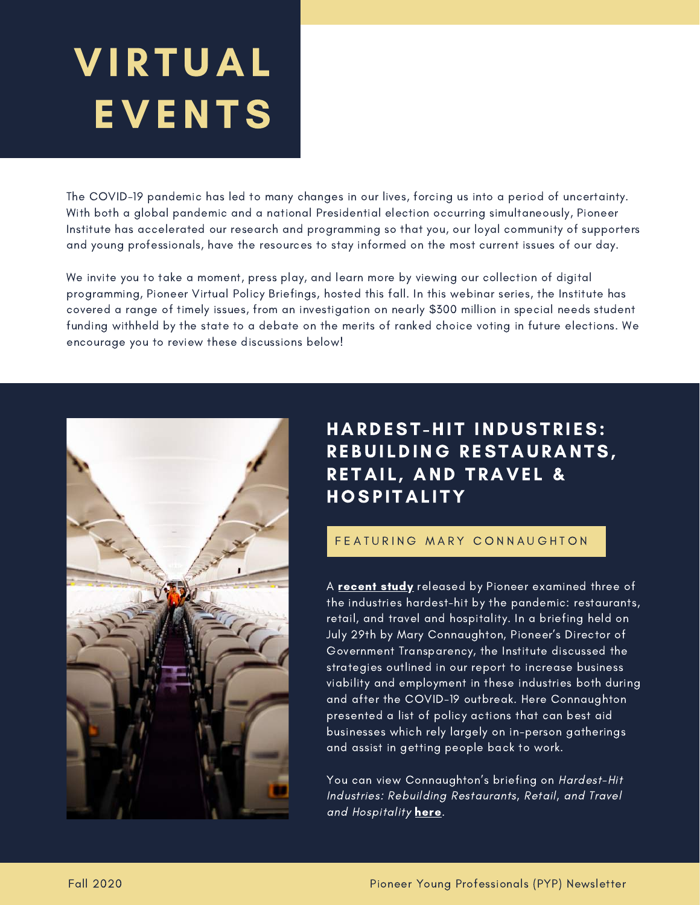# VIRTUAL EVENTS

The COVID-19 pandemic has led to many changes in our lives, forcing us into a period of uncertainty. With both a global pandemic and a national Presidential election occurring simultaneously, Pioneer Institute has accelerated our research and programming so that you, our loyal community of supporters and young professionals, have the resources to stay informed on the most current issues of our day.

We invite you to take a moment, press play, and learn more by viewing our collection of digital programming, Pioneer Virtual Policy Briefings, hosted this fall. In this webinar series, the Institute has covered a range of timely issues, from an investigation on nearly \$300 million in special needs student funding withheld by the state to a debate on the merits of ranked choice voting in future elections. We encourage you to review these discussions below!



### HARDEST-HIT INDUSTRIES: REBUILDING RESTAURANTS, RETAIL, AND TRAVEL & **HOSPITALITY**

#### F F A TURING MARY CONNAUGHTON

A **[recent](https://pioneerinstitute.org/covid/covid-economy/new-study-offers-guide-to-recovery-in-ma-retail-accommodation-and-tourism-and-restaurant-sectors/) study** released by Pioneer examined three of the industries hardest-hit by the pandemic: restaurants, retail, and travel and hospitality. In a briefing held on July 29th by Mary Connaughton, Pioneer's Director of Government Transparency, the Institute discussed the strategies outlined in our report to increase business viability and employment in these industries both during and after the COVID-19 outbreak. Here Connaughton presented a list of policy actions that can best aid businesses which rely largely on in-person gatherings and assist in getting people back to work.

You can view Connaughton's briefing on Hardest-Hit Industries: Rebuilding Restaurants, Retail, and Travel and Hospitality [here.](https://www.dropbox.com/s/uceht3ua5ze4jfa/E8.%20Virtual%20Policy%20Briefing%20with%20Mary%20Connaughton.mp4?dl=0)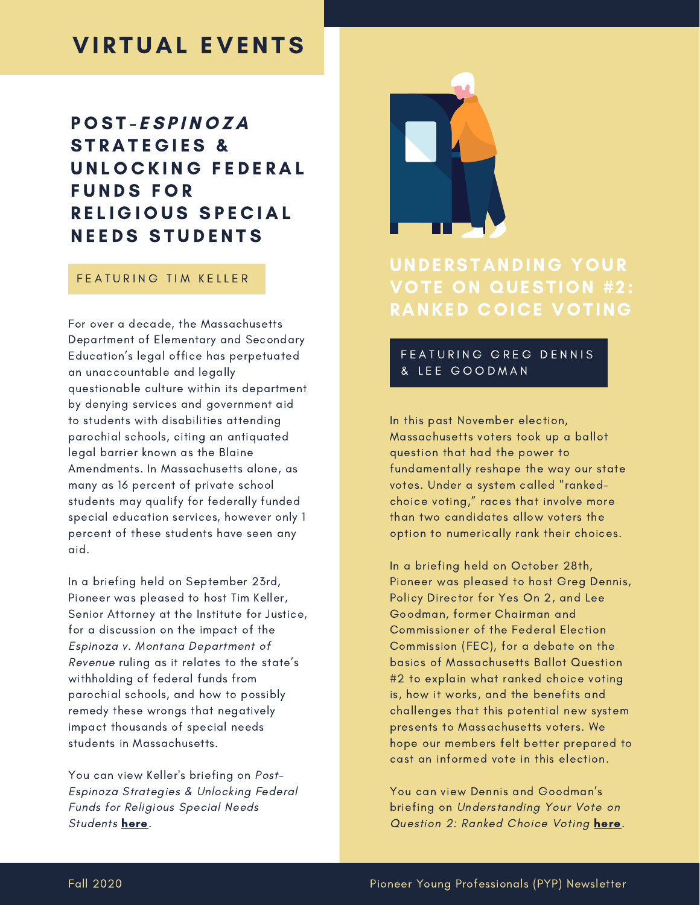### **VIRTUAL EVENTS**

### P O S T - E S P I N O Z A STRATEGIES & UNLOCKING FEDERAL F U N D S F O R RELIGIOUS SPECIAL **NEEDS STUDENTS**

#### FEATURING TIM KELLER

For over a decade, the Massachusetts Department of Elementary and Secondary Education's legal office has perpetuated an unaccountable and legally questionable culture within its department by denying services and government aid to students with disabilities attending parochial schools, citing an antiquated legal barrier known as the Blaine Amendments. In Massachusetts alone, as many as 16 percent of private school students may qualify for federally funded special education services, however only 1 percent of these students have seen any aid.

In a briefing held on September 23rd, Pioneer was pleased to host Tim Keller, Senior Attorney at the Institute for Justice, for a discussion on the impact of the Espinoza v. Montana Department of Revenue ruling as it relates to the state's withholding of federal funds from parochial schools, and how to possibly remedy these wrongs that negatively impact thousands of special needs students in Massachusetts.

You can view Keller's briefing on Post-Espinoza Strategies & Unlocking Federal Funds for Religious Special Needs Students [here.](https://www.dropbox.com/s/lbwt6v6y6yp1drg/E9.%20Virtual%20Policy%20Briefing%20with%20Tim%20Keller.mp4?dl=0)



### UNDERSTANDING YOUR VOTE ON QUESTION #2: RANKED COICE VOTING

#### FEATURING GREG DENNIS & L E E G O O D M A N

In this past November election, Massachusetts voters took up a ballot question that had the power to fundamentally reshape the way our state votes. Under a system called "rankedchoice voting," races that involve more than two candidates allow voters the option to numerically rank their choices.

In a briefing held on October 28th, Pioneer was pleased to host Greg Dennis, Policy Director for Yes On 2, and Lee Goodman, former Chairman and Commissioner of the Federal Election Commission (FEC), for a debate on the basics of Massachusetts Ballot Question #2 to explain what ranked choice voting is, how it works, and the benefits and challenges that this potential new system presents to Massachusetts voters. We hope [o](https://masseconomix.org/)ur [me](https://masseconomix.org/)mbers felt better prepared to cast an informed vote in this election.

You can view Dennis and Goodman's briefing on Understanding Your Vote on Question 2: Ranked Choice Voting [here](https://www.dropbox.com/s/beckaa6bi1rkr20/E10.%20Virtual%20Policy%20Briefing%20with%20Greg%20Dennis%20and%20Lee%20Goodman.mp4?dl=0).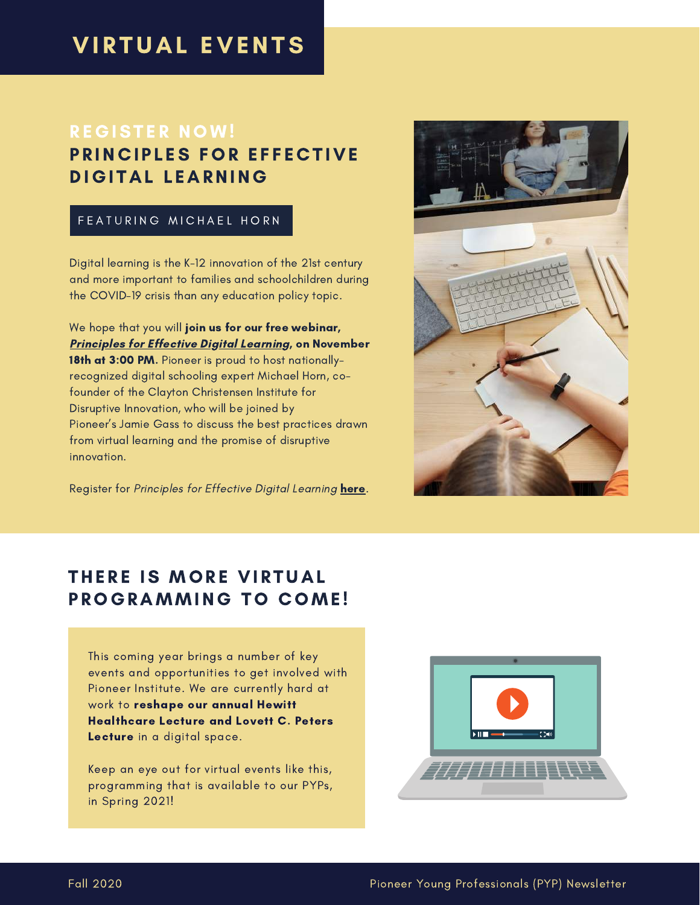### **VIRTUAL EVENTS**

### **REGISTER NOW!** PRINCIPLES FOR EFFECTIVE DIGITAL LEARNING

#### FEATURING MICHAEL HORN

Digital learning is the K-12 innovation of the 21st century and more important to families and schoolchildren during the COVID-19 crisis than any education policy topic.

We hope that you will join us for our free webinar, Principles for Effective Digital [Learning,](https://us02web.zoom.us/webinar/register/WN_eP9vgx6VSNOMh9eQZU_73g) on November 18th at 3:00 PM. Pioneer is proud to host nationallyrecognized digital schooling expert Michael Horn, cofounder of the Clayton Christensen Institute for Disruptive Innovation, who will be joined by Pioneer's Jamie Gass to discuss the best practices drawn from virtual learning and the promise of disruptive innovation.

Register for Principles for Effective Digital Learning [here](https://us02web.zoom.us/webinar/register/WN_eP9vgx6VSNOMh9eQZU_73g).



### THERE IS MORE VIRTUAL PROGRAMMING TO COME!

This coming year brings a number of key events and opportunities to get involved with Pioneer Institute. We are currently hard at work to reshape our annual Hewitt Healthcare Lecture and Lovett C. Peters Lecture in a digital space.

Keep an eye out for virtual events like this, programming that is available to our PYPs, in Spring 2021!

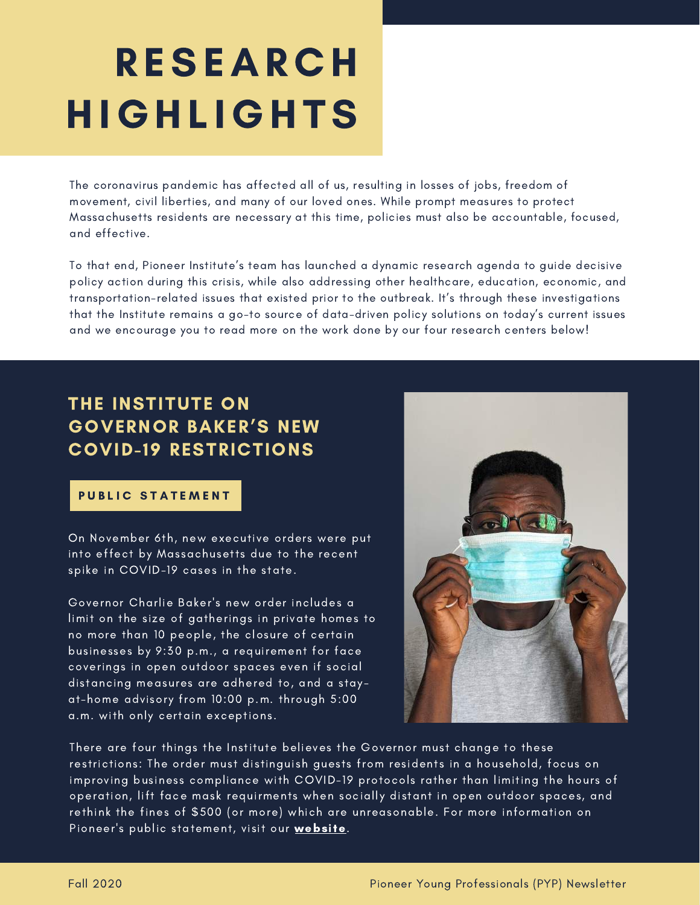## **RESEARCH** HIGHL IGHTS

The coronavirus pandemic has affected all of us, resulting in losses of jobs, freedom of movement, civil liberties, and many of our loved ones. While prompt measures to protect Massachusetts residents are necessary at this time, policies must also be accountable, focused, and effective.

To that end, Pioneer Institute's team has launched a dynamic research agenda to guide decisive policy action during this crisis, while also addressing other healthcare, education, economic, and transportation-related issues that existed prior to the outbreak. It's through these investigations that the Institute remains a go-to source of data-driven policy solutions on today's current issues and we encourage you to read more on the work done by our four research centers below!

### THE INSTITUTE ON GOVERNOR BAKER'S NEW COVID-19 RESTRICTIONS

#### PUBLIC STATEMENT

On November 6th, new executive orders were put into effect by Massachusetts due to the recent spike in COVID-19 cases in the state.

Governor Charlie Baker's new order includes a limit on the size of gatherings in private homes to no more than 10 people, the closure of certain businesses by 9:30 p.m., a requirement for face coverings in open outdoor spaces even if social distancing measures are adhered to, and a stayat-home advisory from 10:00 p.m. through 5:00 a.m. with only certain exceptions.



There are four things the Institute believes the Governor must change to these restrictions: The order must distinguish guests from residents in a household, focus on improving business compliance with COVID-19 protocols rather than limiting the hours of operation, lift face mask requirments when socially distant in open outdoor spaces, and rethink the fines of \$500 (or more) which are unreasonable. For more information on Pioneer's public statement, visit our [website](https://pioneerinstitute.org/better_government/pioneer-institute-statement-on-governor-bakers-new-covid-restrictions/).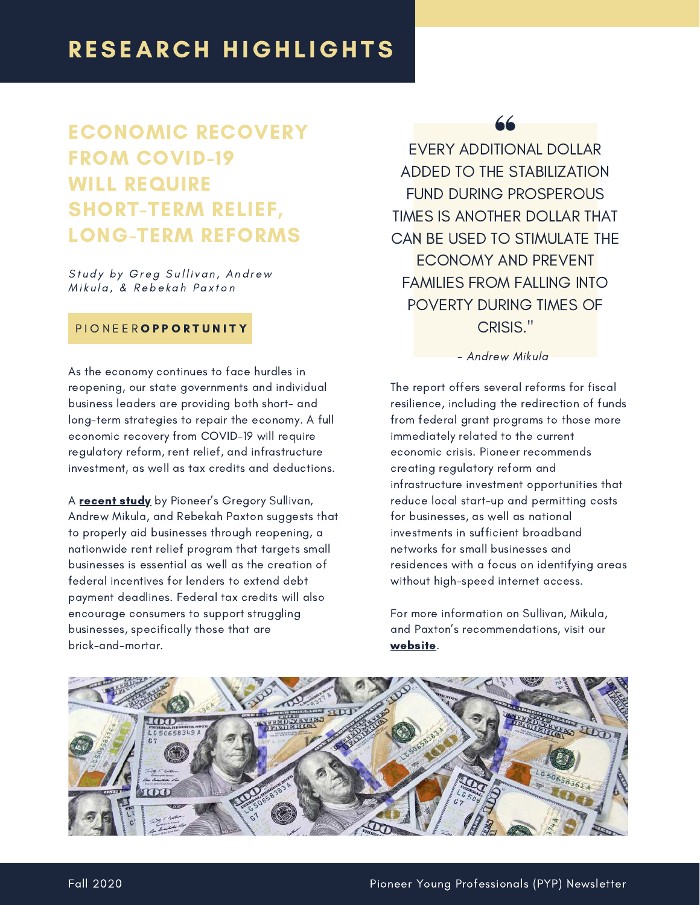### ECONOMIC RECOVERY FROM COVID-19 WILL REQUIRE SHORT-TERM RELIEF, LONG-TERM REFORMS

Study by Greg Sullivan, Andrew Mikula, & Rebekah Paxton

#### PIONEEROPPORTUNITY

As the economy continues to face hurdles in reopening, our state governments and individual business leaders are providing both short- and long-term strategies to repair the economy. A full economic recovery from COVID-19 will require regulatory reform, rent relief, and infrastructure investment, as well as tax credits and deductions.

A **[recent](https://pioneerinstitute.org/covid/study-economic-recovery-from-covid-will-require-short-term-relief-long-term-reforms/) study** by Pioneer's Gregory Sullivan, Andrew Mikula, and Rebekah Paxton suggests that to properly aid businesses through reopening, a nationwide rent relief program that targets small businesses is essential as well as the creation of federal incentives for lenders to extend debt payment deadlines. Federal tax credits will also encourage consumers to support struggling businesses, specifically those that are brick-and-mortar.

EVERY ADDITIONAL DOLLAR ADDED TO THE STABILIZATION FUND DURING PROSPEROUS TIMES IS ANOTHER DOLLAR THAT CAN BE USED TO STIMULATE THE ECONOMY AND PREVENT FAMILIES FROM FALLING INTO POVERTY DURING TIMES OF CRISIS."

- Andrew Mikula

The report offers several reforms for fiscal resilience, including the redirection of funds from federal grant programs to those more immediately related to the current economic crisis. Pioneer recommends creating regulatory reform and infrastructure investment opportunities that reduce local start-up and permitting costs for businesses, as well as national investments in sufficient broadband networks for small businesses and residences with a focus on identifying areas without high-speed internet access.

For more information on Sullivan, Mikula, and Paxton's recommendations, visit our [website.](https://pioneerinstitute.org/covid/study-economic-recovery-from-covid-will-require-short-term-relief-long-term-reforms/)

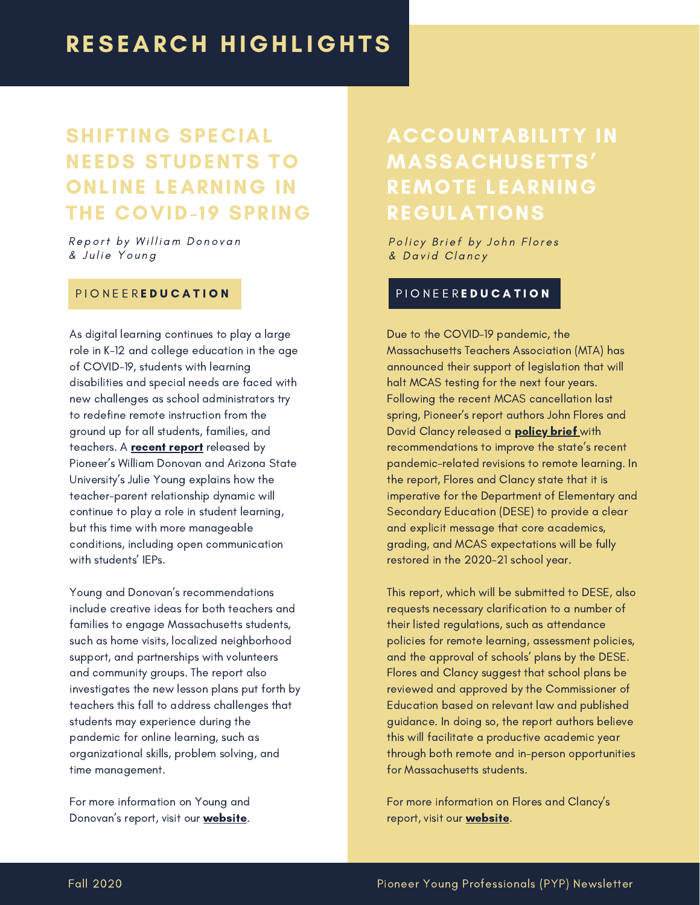### SHIFTING SPECIAL NEEDS STUDENTS TO ONLINE LEARNING IN THE COVID-19 SPRING

Report by William Donovan & Julie Young

#### PIONEER**EDUCATION**

As digital learning continues to play a large role in K-12 and college education in the age of COVID-19, students with learning disabilities and special needs are faced with new challenges as school administrators try to redefine remote instruction from the ground up for all students, families, and teachers. A **[recent](https://pioneerinstitute.org/pioneer-research/covid-pioneer-research/shifting-special-needs-students-to-online-learning-in-the-covid-19-spring-2/) report** released by Pioneer's William Donovan and Arizona State University's Julie Young explains how the teacher-parent relationship dynamic will continue to play a role in student learning, but this time with more manageable conditions, including open communication with students' IEPs.

Young and Donovan's recommendations include creative ideas for both teachers and families to engage Massachusetts students, such as home visits, localized neighborhood support, and partnerships with volunteers and community groups. The report also investigates the new lesson plans put forth by teachers this fall to address challenges that students may experience during the pandemic for online learning, such as organizational skills, problem solving, and time management.

For more information on Young and Donovan's report, visit our **[website](https://pioneerinstitute.org/pioneer-research/covid-pioneer-research/shifting-special-needs-students-to-online-learning-in-the-covid-19-spring-2/)**.

### ACCOUNTABILITY IN MASSACHUSETTS' REMOTE LEARNING REGULATIONS

Policy Brief by John Flores & David Clancy

#### PIONEEREDUCATION

Due to the COVID-19 pandemic, the Massachusetts Teachers Association (MTA) has announced their support of legislation that will halt MCAS testing for the next four years. Following the recent MCAS cancellation last spring, Pioneer's report authors John Flores and David Clancy released a **[policy](https://pioneerinstitute.org/pioneer-research/accountability-in-massachusetts-remote-learning-regulations/) brief** with recommendations to improve the state's recent pandemic-related revisions to remote learning. In the report, Flores and Clancy state that it is imperative for the Department of Elementary and Secondary Education (DESE) to provide a clear and explicit message that core academics, grading, and MCAS expectations will be fully restored in the 2020-21 school year.

This report, which will be submitted to DESE, also requests necessary clarification to a number of their listed regulations, such as attendance policies for remote learning, assessment policies, and the approval of schools' plans by the DESE. Flores and Clancy suggest that school plans be reviewed and approved by the Commissioner of Education based on relevant law and published guidance. In doing so, the report authors believe this will facilitate a productive academic year through both remote and in-person opportunities for Massachusetts students.

For more information on Flores and Clancy's report, visit our **website**.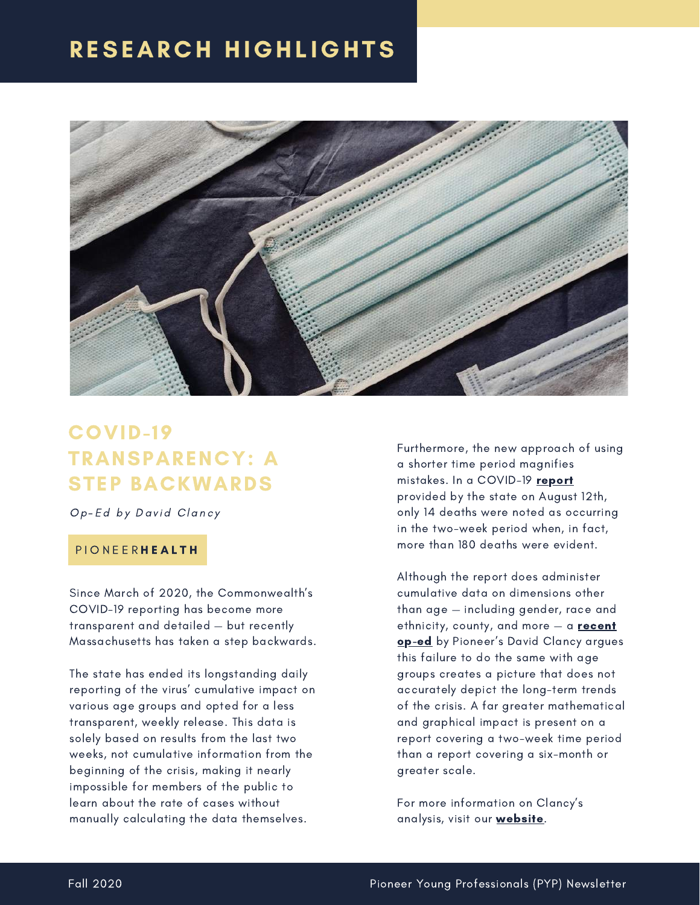### **RESEARCH HIGHLIGHTS**



### COVID-19 TRANSPARENCY: A STEP BACKWARDS

Op-Ed by David Clancy

#### P I O N E E R H E A L T H

Since March of 2020, the Commonwealth's COVID-19 reporting has become more transparent and detailed — but recently Massachusetts has taken a step backwards.

The state has ended its longstanding daily reporting of the virus' cumulative impact on various age groups and opted for a less transparent, weekly release. This data is solely based on results from the last two weeks, not cumulative information from the beginning of the crisis, making it nearly impossible for members of the public to learn about the rate of cases without manually calculating the data themselves.

Furthermore, the new approach of using a shorter time period magnifies mistakes. In a COVID-19 [report](https://www.mass.gov/info-details/archive-of-covid-19-cases-in-massachusetts) provided by the state on August 12th, only 14 deaths were noted as occurring in the two-week period when, in fact, more than 180 deaths were evident.

Although the report does administer cumulative data on dimensions other than age — including gender, race and ethnicity, county, and more  $-$  a [recent](https://pioneerinstitute.org/news/covid-19-transparency-a-step-backwards/) [op-ed](https://pioneerinstitute.org/news/covid-19-transparency-a-step-backwards/) by Pioneer's David Clancy argues this failure to do the same with age groups creates a picture that does not accurately depict the long-term trends of the crisis. A far greater mathematical and graphical impact is present on a report covering a two-week time period than a report covering a six-month or greater scale.

For more information on Clancy's analysis, visit our **[website](https://pioneerinstitute.org/news/covid-19-transparency-a-step-backwards/)**.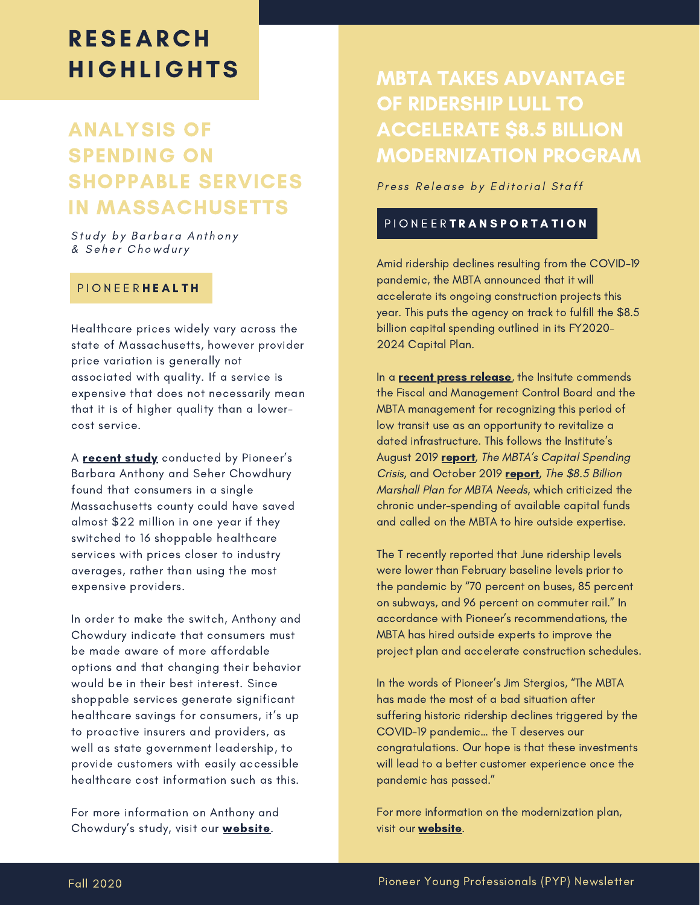### **RESEARCH HIGHLIGHTS**

### ANALYSIS OF SPENDING ON SHOPPABLE SERVICES IN MASSACHUSETTS

Study by Barbara Anthony & Seher Chowdury

#### P I O N E E R H E A L T H

Healthcare prices widely vary across the state of Massachusetts, however provider price variation is generally not associated with quality. If a service is expensive that does not necessarily mean that it is of higher quality than a lowercost service.

A **[recent](https://pioneerinstitute.org/pioneer-research/analysis-of-spending-on-shoppable-services-in-massachusetts/) study** conducted by Pioneer's Barbara Anthony and Seher Chowdhury found that consumers in a single Massachusetts county could have saved almost \$22 million in one year if they switched to 16 shoppable healthcare services with prices closer to industry averages, rather than using the most expensive providers.

In order to make the switch, Anthony and Chowdury indicate that consumers must be made aware of more affordable options and that changing their behavior would be in their best interest. Since shoppable services generate significant healthcare savings for consumers, it's up to proactive insurers and providers, as well as state government leadership, to provide customers with easily accessible healthcare cost information such as this.

For more information on Anthony and Chowdury's study, visit our **website**.

### MBTA TAKES ADVANTAGE OF RIDERSHIP LULL TO ACCELERATE \$8.5 BILLION MODERNIZATION PROGRAM

Press Release by Editorial Staff

#### PIONEER**TRANSPORTATION**

Amid ridership declines resulting from the COVID-19 pandemic, the MBTA announced that it will accelerate its ongoing construction projects this year. This puts the agency on track to fulfill the \$8.5 billion capital spending outlined in its FY2020- 2024 Capital Plan.

In a **recent press release**, the Insitute commends the Fiscal and Management Control Board and the MBTA management for recognizing this period of low transit use as an opportunity to revitalize a dated infrastructure. This follows the Institute's August 2019 [report](https://pioneerinstitute.org/featured/study-calls-for-easing-mbta-procurement-restrictions-and-beefing-up-project-management-capacity/), The MBTA's Capital Spending Crisis, and October 2019 [report,](https://pioneerinstitute.org/wp-content/uploads/dlm_uploads/MarshallPlan-WP.pdf) The \$8.5 Billion Marshall Plan for MBTA Needs, which criticized the chronic under-spending of available capital funds and called on the MBTA to hire outside expertise.

The T recently reported that June ridership levels were lower than February baseline levels prior to the pandemic by "70 percent on buses, 85 percent on subways, and 96 percent on commuter rail." In accordance with Pioneer's recommendations, the MBTA has hired outside experts to improve the project plan and accelerate construction schedules.

In the words of Pioneer's Jim Stergios, "The MBTA has made the most of a bad situation after suffering historic ridership declines triggered by the COVID-19 pandemic… the T deserves our congratulations. Our hope is that these investments will lead to a better customer experience once the pandemic has passed."

For more information on the modernization plan, visit our **website**.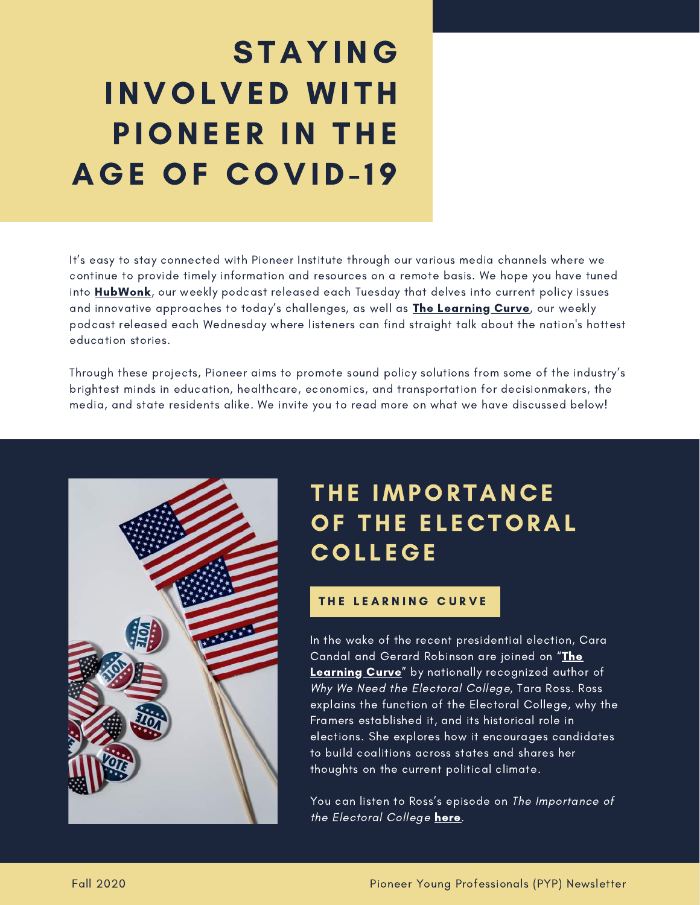## STAYING INVOLVED WITH PIONEER IN THE **AGE OF COVID-19**

It's easy to stay connected with Pioneer Institute through our various media channels where we continue to provide timely information and resources on a remote basis. We hope you have tuned into [HubWonk](https://pioneerinstitute.org/hubwonk/), our weekly podcast released each Tuesday that delves into current policy issues and innovative approaches to today's challenges, as well as **The [Learning](https://pioneerinstitute.org/podcast/the-learning-curve-new-national-education-podcast/) Curve**, our weekly podcast released each Wednesday where listeners can find straight talk about the nation's hottest education stories.

Through these projects, Pioneer aims to promote sound policy solutions from some of the industry's brightest minds in education, healthcare, economics, and transportation for decisionmakers, the media, and state residents alike. We invite you to read more on what we have discussed below!



### THE IMPORTANCE OF THE ELECTORAL **COLLEGE**

#### THE LEARNING CURVE

F E A T U R I N G In the wake of the recent presidential election, Cara Candal and Gerard Robinson are joined on "The Learning Curve" by nationally [recognized](https://pioneerinstitute.org/podcast/the-learning-curve-new-national-education-podcast/) author of Why We Need the Electoral College, Tara Ross. Ross explains the function of the Electoral College, why the Framers established it, and its historical role in elections. She explores how it encourages candidates to build coalitions across states and shares her thoughts on the current political climate.

You can listen to Ross's episode on The Importance of the Electoral College [here.](https://pioneerinstitute.org/featured/nationally-recognized-author-tara-ross-on-the-importance-of-the-electoral-college/?av_sc_blog_page=3)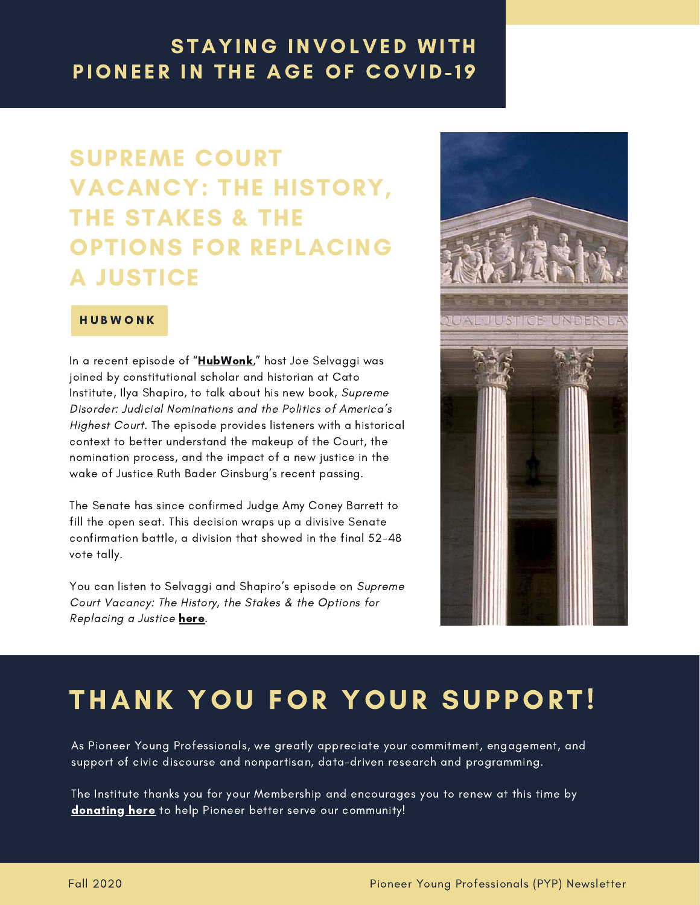### **STAYING INVOLVED WITH** PIONEER IN THE AGE OF COVID-19

### SUPREME COURT VACANCY: THE HISTORY, THE STAKES & THE OPTIONS FOR REPLACING A JUSTICE

#### **HUBWONK**

In a recent episode of ["HubWonk](https://pioneerinstitute.org/hubwonk/)," host Joe Selvaggi was joined by constitutional scholar and historian at Cato Institute, Ilya Shapiro, to talk about his new book, Supreme Disorder: Judicial Nominations and the Politics of America's Highest Court. The episode provides listeners with a historical context to better understand the makeup of the Court, the nomination process, and the impact of a new justice in the wake of Justice Ruth Bader Ginsburg's recent passing.

The Senate has since confirmed Judge Amy Coney Barrett to fill the open seat. This decision wraps up a divisive Senate confirmation battle, a division that showed in the final 52-48 vote tally.

You can listen to Selvaggi and Shapiro's episode on Supreme Court Vacancy: The History, the Stakes & the Options for Replacing a Justice [here.](https://pioneerinstitute.org/featured/supreme-court-vacancy-the-history-the-stakes-the-options-for-replacing-a-justice/)



### THANK YOU FOR YOUR SUPPORT!

As Pioneer Young Professionals, we greatly appreciate your commitment, engagement, and support of civic discourse and nonpartisan, data-driven research and programming.

The Institute thanks you for your Membership and encourages you to renew at this time by [donating](https://pioneerinstitute.org/donations/) here to help Pioneer better serve our community!